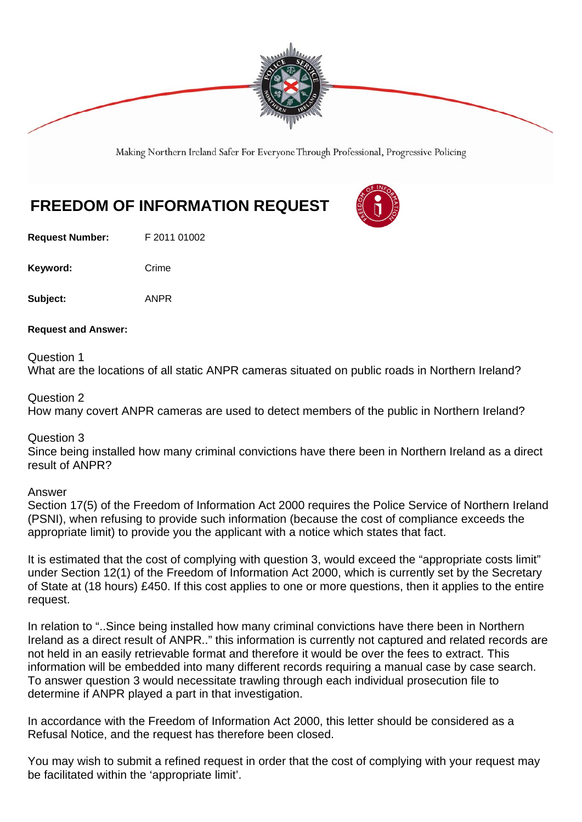

Making Northern Ireland Safer For Everyone Through Professional, Progressive Policing

## **FREEDOM OF INFORMATION REQUEST**

**Request Number:** F 2011 01002

Keyword: Crime

**Subject:** ANPR

**Request and Answer:** 

Question 1 What are the locations of all static ANPR cameras situated on public roads in Northern Ireland?

Question 2

How many covert ANPR cameras are used to detect members of the public in Northern Ireland?

Question 3

Since being installed how many criminal convictions have there been in Northern Ireland as a direct result of ANPR?

Answer

Section 17(5) of the Freedom of Information Act 2000 requires the Police Service of Northern Ireland (PSNI), when refusing to provide such information (because the cost of compliance exceeds the appropriate limit) to provide you the applicant with a notice which states that fact.

It is estimated that the cost of complying with question 3, would exceed the "appropriate costs limit" under Section 12(1) of the Freedom of Information Act 2000, which is currently set by the Secretary of State at (18 hours) £450. If this cost applies to one or more questions, then it applies to the entire request.

In relation to "..Since being installed how many criminal convictions have there been in Northern Ireland as a direct result of ANPR.." this information is currently not captured and related records are not held in an easily retrievable format and therefore it would be over the fees to extract. This information will be embedded into many different records requiring a manual case by case search. To answer question 3 would necessitate trawling through each individual prosecution file to determine if ANPR played a part in that investigation.

In accordance with the Freedom of Information Act 2000, this letter should be considered as a Refusal Notice, and the request has therefore been closed.

You may wish to submit a refined request in order that the cost of complying with your request may be facilitated within the 'appropriate limit'.